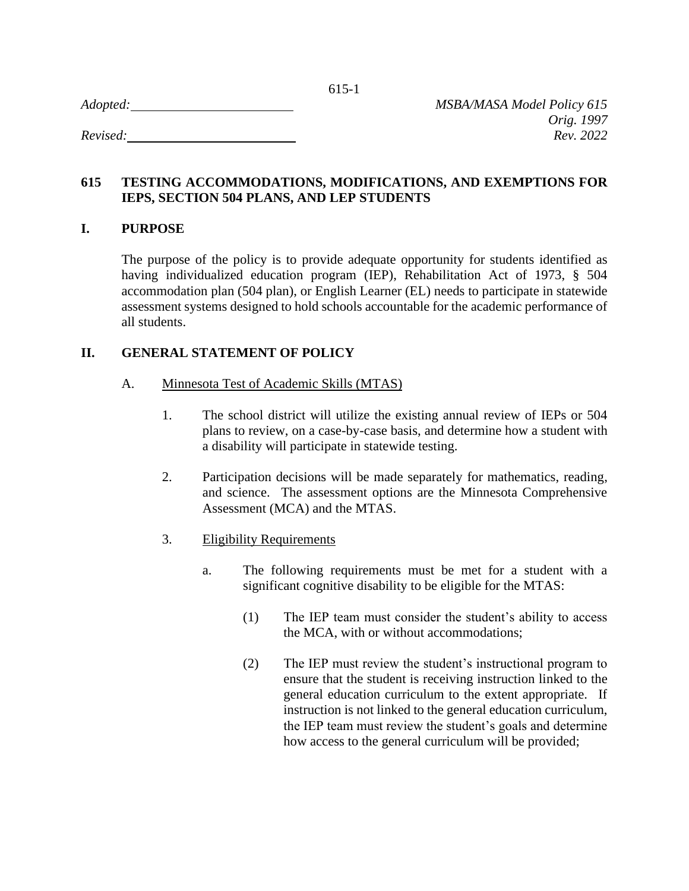| Adopted: |  |  |
|----------|--|--|
|          |  |  |

# **615 TESTING ACCOMMODATIONS, MODIFICATIONS, AND EXEMPTIONS FOR IEPS, SECTION 504 PLANS, AND LEP STUDENTS**

## **I. PURPOSE**

The purpose of the policy is to provide adequate opportunity for students identified as having individualized education program (IEP), Rehabilitation Act of 1973, § 504 accommodation plan (504 plan), or English Learner (EL) needs to participate in statewide assessment systems designed to hold schools accountable for the academic performance of all students.

## **II. GENERAL STATEMENT OF POLICY**

- A. Minnesota Test of Academic Skills (MTAS)
	- 1. The school district will utilize the existing annual review of IEPs or 504 plans to review, on a case-by-case basis, and determine how a student with a disability will participate in statewide testing.
	- 2. Participation decisions will be made separately for mathematics, reading, and science. The assessment options are the Minnesota Comprehensive Assessment (MCA) and the MTAS.
	- 3. Eligibility Requirements
		- a. The following requirements must be met for a student with a significant cognitive disability to be eligible for the MTAS:
			- (1) The IEP team must consider the student's ability to access the MCA, with or without accommodations;
			- (2) The IEP must review the student's instructional program to ensure that the student is receiving instruction linked to the general education curriculum to the extent appropriate. If instruction is not linked to the general education curriculum, the IEP team must review the student's goals and determine how access to the general curriculum will be provided;

615-1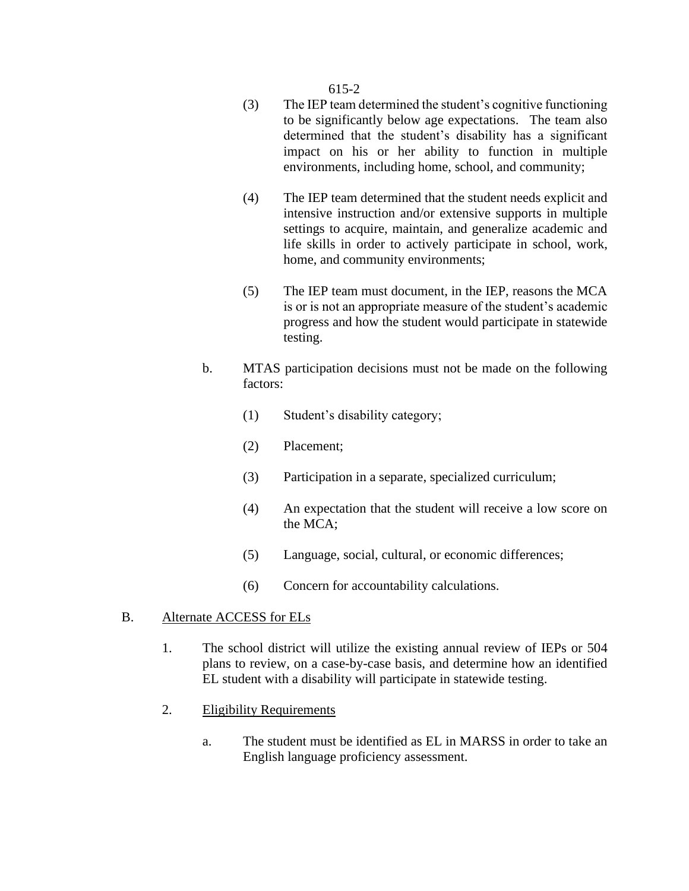#### 615-2

- (3) The IEP team determined the student's cognitive functioning to be significantly below age expectations. The team also determined that the student's disability has a significant impact on his or her ability to function in multiple environments, including home, school, and community;
- (4) The IEP team determined that the student needs explicit and intensive instruction and/or extensive supports in multiple settings to acquire, maintain, and generalize academic and life skills in order to actively participate in school, work, home, and community environments;
- (5) The IEP team must document, in the IEP, reasons the MCA is or is not an appropriate measure of the student's academic progress and how the student would participate in statewide testing.
- b. MTAS participation decisions must not be made on the following factors:
	- (1) Student's disability category;
	- (2) Placement;
	- (3) Participation in a separate, specialized curriculum;
	- (4) An expectation that the student will receive a low score on the MCA;
	- (5) Language, social, cultural, or economic differences;
	- (6) Concern for accountability calculations.

#### B. Alternate ACCESS for ELs

- 1. The school district will utilize the existing annual review of IEPs or 504 plans to review, on a case-by-case basis, and determine how an identified EL student with a disability will participate in statewide testing.
- 2. Eligibility Requirements
	- a. The student must be identified as EL in MARSS in order to take an English language proficiency assessment.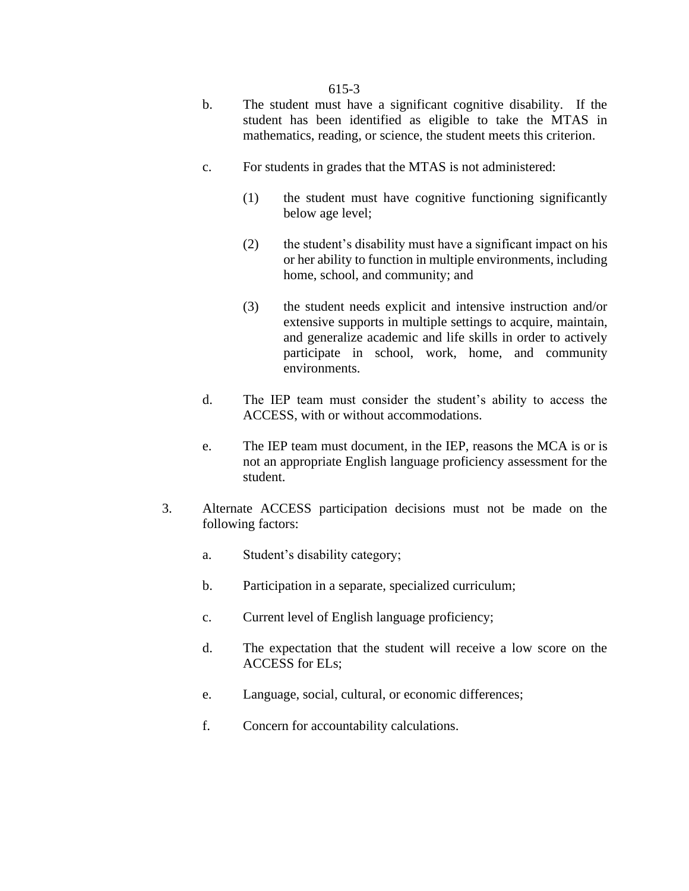#### 615-3

- b. The student must have a significant cognitive disability. If the student has been identified as eligible to take the MTAS in mathematics, reading, or science, the student meets this criterion.
- c. For students in grades that the MTAS is not administered:
	- (1) the student must have cognitive functioning significantly below age level;
	- (2) the student's disability must have a significant impact on his or her ability to function in multiple environments, including home, school, and community; and
	- (3) the student needs explicit and intensive instruction and/or extensive supports in multiple settings to acquire, maintain, and generalize academic and life skills in order to actively participate in school, work, home, and community environments.
- d. The IEP team must consider the student's ability to access the ACCESS, with or without accommodations.
- e. The IEP team must document, in the IEP, reasons the MCA is or is not an appropriate English language proficiency assessment for the student.
- 3. Alternate ACCESS participation decisions must not be made on the following factors:
	- a. Student's disability category;
	- b. Participation in a separate, specialized curriculum;
	- c. Current level of English language proficiency;
	- d. The expectation that the student will receive a low score on the ACCESS for ELs;
	- e. Language, social, cultural, or economic differences;
	- f. Concern for accountability calculations.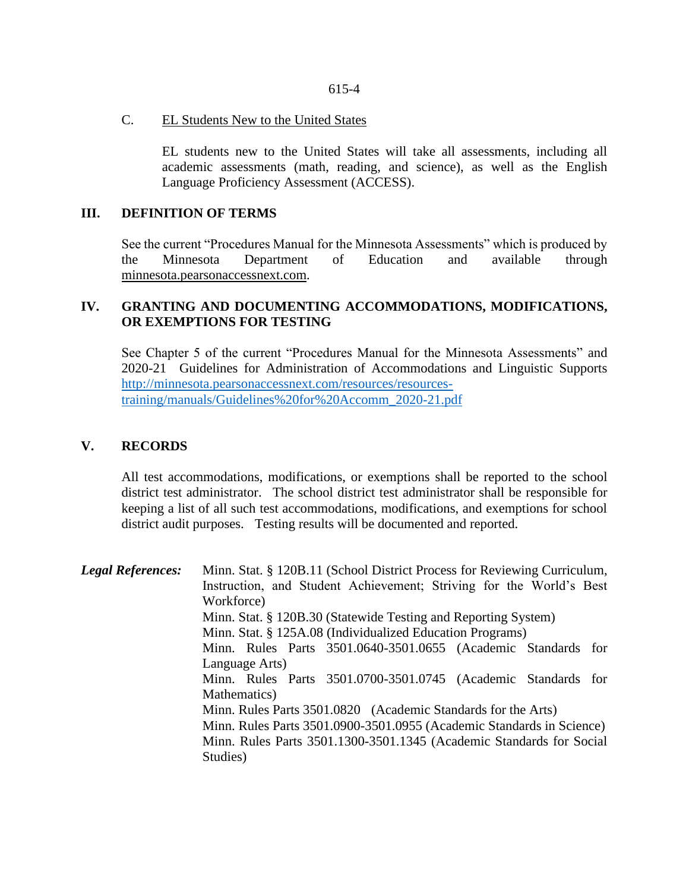#### C. EL Students New to the United States

EL students new to the United States will take all assessments, including all academic assessments (math, reading, and science), as well as the English Language Proficiency Assessment (ACCESS).

## **III. DEFINITION OF TERMS**

See the current "Procedures Manual for the Minnesota Assessments" which is produced by the Minnesota Department of Education and available through minnesota.pearsonaccessnext.com.

## **IV. GRANTING AND DOCUMENTING ACCOMMODATIONS, MODIFICATIONS, OR EXEMPTIONS FOR TESTING**

See Chapter 5 of the current "Procedures Manual for the Minnesota Assessments" and 2020-21 Guidelines for Administration of Accommodations and Linguistic Supports [http://minnesota.pearsonaccessnext.com/resources/resources](http://minnesota.pearsonaccessnext.com/resources/resources-training/manuals/Guidelines%20for%20Accomm_2020-21.pdf)[training/manuals/Guidelines%20for%20Accomm\\_2020-21.pdf](http://minnesota.pearsonaccessnext.com/resources/resources-training/manuals/Guidelines%20for%20Accomm_2020-21.pdf)

## **V. RECORDS**

All test accommodations, modifications, or exemptions shall be reported to the school district test administrator. The school district test administrator shall be responsible for keeping a list of all such test accommodations, modifications, and exemptions for school district audit purposes. Testing results will be documented and reported.

*Legal References:* Minn. Stat. § 120B.11 (School District Process for Reviewing Curriculum, Instruction, and Student Achievement; Striving for the World's Best Workforce) Minn. Stat. § 120B.30 (Statewide Testing and Reporting System) Minn. Stat. § 125A.08 (Individualized Education Programs) Minn. Rules Parts 3501.0640-3501.0655 (Academic Standards for Language Arts) Minn. Rules Parts 3501.0700-3501.0745 (Academic Standards for Mathematics) Minn. Rules Parts 3501.0820 (Academic Standards for the Arts) Minn. Rules Parts 3501.0900-3501.0955 (Academic Standards in Science) Minn. Rules Parts 3501.1300-3501.1345 (Academic Standards for Social Studies)